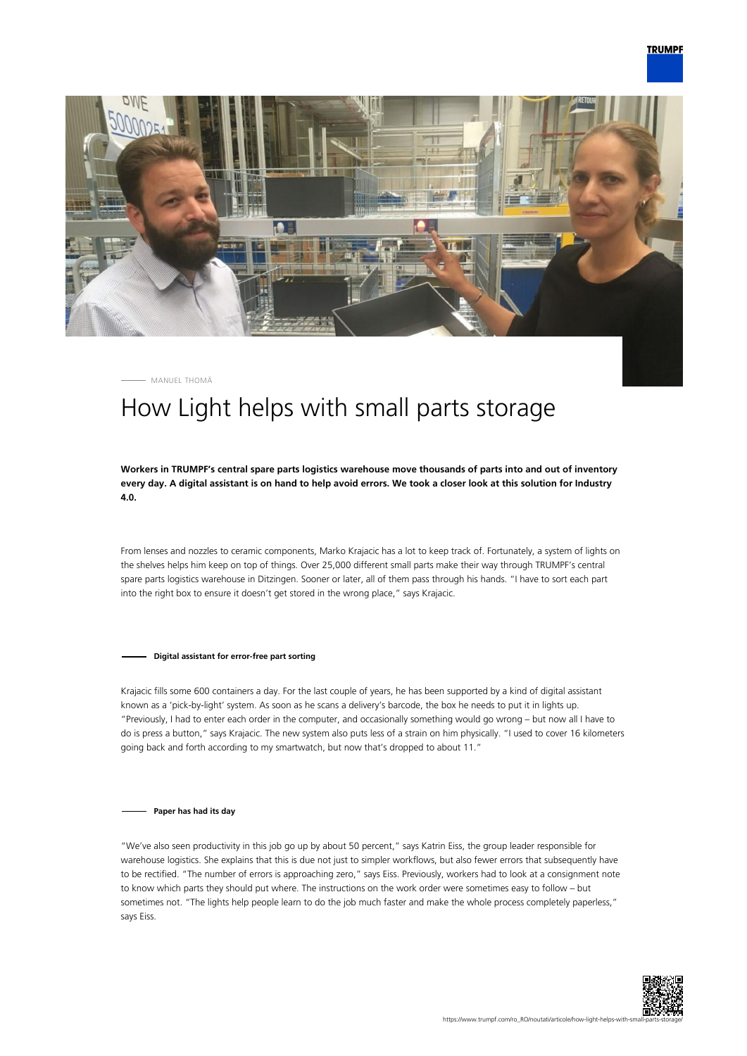



MANUEL THOMÄ

## How Light helps with small parts storage

**Workers in TRUMPF's central spare parts logistics warehouse move thousands of parts into and out of inventory every day. A digital assistant is on hand to help avoid errors. We took a closer look at this solution for Industry 4.0.**

From lenses and nozzles to ceramic components, Marko Krajacic has a lot to keep track of. Fortunately, a system of lights on the shelves helps him keep on top of things. Over 25,000 different small parts make their way through TRUMPF's central spare parts logistics warehouse in Ditzingen. Sooner or later, all of them pass through his hands. "I have to sort each part into the right box to ensure it doesn't get stored in the wrong place," says Krajacic.

## **Digital assistant for error-free part sorting**

Krajacic fills some 600 containers a day. For the last couple of years, he has been supported by a kind of digital assistant known as a 'pick-by-light' system. As soon as he scans a delivery's barcode, the box he needs to put it in lights up. "Previously, I had to enter each order in the computer, and occasionally something would go wrong – but now all I have to do is press a button," says Krajacic. The new system also puts less of a strain on him physically. "I used to cover 16 kilometers going back and forth according to my smartwatch, but now that's dropped to about 11."

## **Paper has had its day**

"We've also seen productivity in this job go up by about 50 percent," says Katrin Eiss, the group leader responsible for warehouse logistics. She explains that this is due not just to simpler workflows, but also fewer errors that subsequently have to be rectified. "The number of errors is approaching zero," says Eiss. Previously, workers had to look at a consignment note to know which parts they should put where. The instructions on the work order were sometimes easy to follow – but sometimes not. "The lights help people learn to do the job much faster and make the whole process completely paperless," says Eiss.